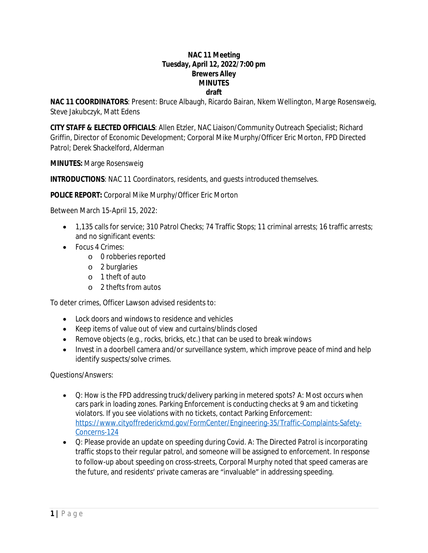#### **NAC 11 Meeting Tuesday, April 12, 2022/7:00 pm Brewers Alley MINUTES draft**

**NAC 11 COORDINATORS**: Present: Bruce Albaugh, Ricardo Bairan, Nkem Wellington, Marge Rosensweig, Steve Jakubczyk, Matt Edens

**CITY STAFF & ELECTED OFFICIALS**: Allen Etzler, NAC Liaison/Community Outreach Specialist; Richard Griffin, Director of Economic Development; Corporal Mike Murphy/Officer Eric Morton, FPD Directed Patrol; Derek Shackelford, Alderman

**MINUTES:** Marge Rosensweig

**INTRODUCTIONS**: NAC 11 Coordinators, residents, and guests introduced themselves.

**POLICE REPORT:** Corporal Mike Murphy/Officer Eric Morton

Between March 15-April 15, 2022:

- 1,135 calls for service; 310 Patrol Checks; 74 Traffic Stops; 11 criminal arrests; 16 traffic arrests; and no significant events:
- Focus 4 Crimes:
	- o 0 robberies reported
	- o 2 burglaries
	- o 1 theft of auto
	- o 2 thefts from autos

To deter crimes, Officer Lawson advised residents to:

- Lock doors and windows to residence and vehicles
- Keep items of value out of view and curtains/blinds closed
- Remove objects (e.g., rocks, bricks, etc.) that can be used to break windows
- Invest in a doorbell camera and/or surveillance system, which improve peace of mind and help identify suspects/solve crimes.

Questions/Answers:

- Q: How is the FPD addressing truck/delivery parking in metered spots? A: Most occurs when cars park in loading zones. Parking Enforcement is conducting checks at 9 am and ticketing violators. If you see violations with no tickets, contact Parking Enforcement: [https://www.cityoffrederickmd.gov/FormCenter/Engineering-35/Traffic-Complaints-Safety-](https://www.cityoffrederickmd.gov/FormCenter/Engineering-35/Traffic-Complaints-Safety-Concerns-124)Concerns-124
- Q: Please provide an update on speeding during Covid. A: The Directed Patrol is incorporating traffic stops to their regular patrol, and someone will be assigned to enforcement. In response to follow-up about speeding on cross-streets, Corporal Murphy noted that speed cameras are the future, and residents' private cameras are "invaluable" in addressing speeding.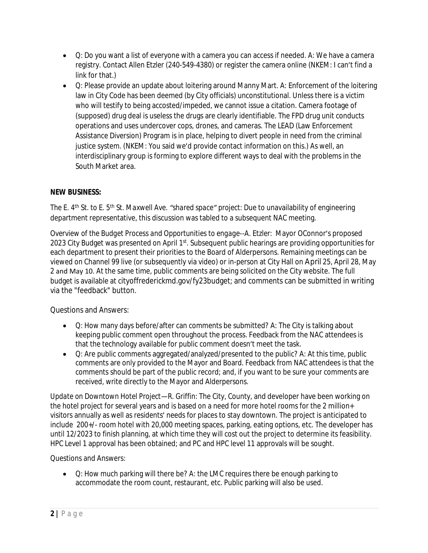- Q: Do you want a list of everyone with a camera you can access if needed. A: We have a camera registry. Contact Allen Etzler (240-549-4380) or register the camera online (NKEM: I can't find a link for that.)
- Q: Please provide an update about loitering around Manny Mart. A: Enforcement of the loitering law in City Code has been deemed (by City officials) unconstitutional. Unless there is a victim who will testify to being accosted/impeded, we cannot issue a citation. Camera footage of (supposed) drug deal is useless the drugs are clearly identifiable. The FPD drug unit conducts operations and uses undercover cops, drones, and cameras. The LEAD (Law Enforcement Assistance Diversion) Program is in place, helping to divert people in need from the criminal justice system. (NKEM: You said we'd provide contact information on this.) As well, an interdisciplinary group is forming to explore different ways to deal with the problems in the South Market area.

# **NEW BUSINESS:**

*The E. 4th St. to E. 5th St. Maxwell Ave. "shared space" project*: Due to unavailability of engineering department representative, this discussion was tabled to a subsequent NAC meeting.

*Overview of the Budget Process and Opportunities to engage--A. Etzler*: Mayor OConnor's proposed 2023 City Budget was presented on April 1<sup>st</sup>. Subsequent public hearings are providing opportunities for each department to present their priorities to the Board of Alderpersons. Remaining meetings can be viewed on Channel 99 live (or subsequently via video) or in-person at City Hall on April 25, April 28, May 2 and May 10. At the same time, public comments are being solicited on the City website. The full budget is available at cityoffrederickmd.gov/fy23budget; and comments can be submitted in writing via the "feedback" button.

Questions and Answers:

- Q: How many days before/after can comments be submitted? A: The City is talking about keeping public comment open throughout the process. Feedback from the NAC attendees is that the technology available for public comment doesn't meet the task.
- Q: Are public comments aggregated/analyzed/presented to the public? A: At this time, public comments are only provided to the Mayor and Board. Feedback from NAC attendees is that the comments should be part of the public record; and, if you want to be sure your comments are received, write directly to the Mayor and Alderpersons.

*Update on Downtown Hotel Project—R. Griffin*: The City, County, and developer have been working on the hotel project for several years and is based on a need for more hotel rooms for the 2 million+ visitors annually as well as residents' needs for places to stay downtown. The project is anticipated to include 200+/- room hotel with 20,000 meeting spaces, parking, eating options, etc. The developer has until 12/2023 to finish planning, at which time they will cost out the project to determine its feasibility. HPC Level 1 approval has been obtained; and PC and HPC level 11 approvals will be sought.

Questions and Answers:

 Q: How much parking will there be? A: the LMC requires there be enough parking to accommodate the room count, restaurant, etc. Public parking will also be used.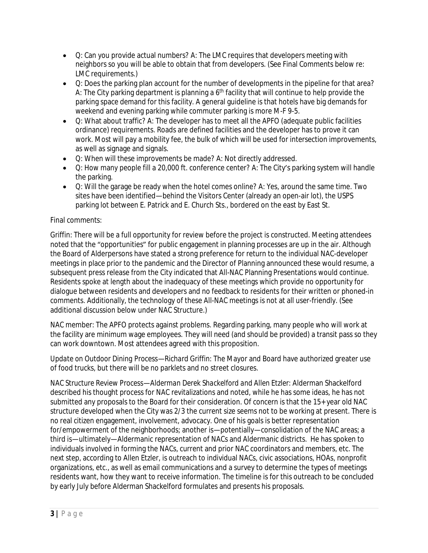- Q: Can you provide actual numbers? A: The LMC requires that developers meeting with neighbors so you will be able to obtain that from developers. (See Final Comments below re: LMC requirements.)
- Q: Does the parking plan account for the number of developments in the pipeline for that area? A: The City parking department is planning a  $6<sup>th</sup>$  facility that will continue to help provide the parking space demand for this facility. A general guideline is that hotels have big demands for weekend and evening parking while commuter parking is more M-F 9-5.
- Q: What about traffic? A: The developer has to meet all the APFO (adequate public facilities ordinance) requirements. Roads are defined facilities and the developer has to prove it can work. Most will pay a mobility fee, the bulk of which will be used for intersection improvements, as well as signage and signals.
- Q: When will these improvements be made? A: Not directly addressed.
- Q: How many people fill a 20,000 ft. conference center? A: The City's parking system will handle the parking.
- Q: Will the garage be ready when the hotel comes online? A: Yes, around the same time. Two sites have been identified—behind the Visitors Center (already an open-air lot), the USPS parking lot between E. Patrick and E. Church Sts., bordered on the east by East St.

## Final comments:

Griffin: There will be a full opportunity for review before the project is constructed. Meeting attendees noted that the "opportunities" for public engagement in planning processes are up in the air. Although the Board of Alderpersons have stated a strong preference for return to the individual NAC-developer meetings in place prior to the pandemic and the Director of Planning announced these would resume, a subsequent press release from the City indicated that All-NAC Planning Presentations would continue. Residents spoke at length about the inadequacy of these meetings which provide no opportunity for dialogue between residents and developers and no feedback to residents for their written or phoned-in comments. Additionally, the technology of these All-NAC meetings is not at all user-friendly. (See additional discussion below under NAC Structure.)

NAC member: The APFO protects against problems. Regarding parking, many people who will work at the facility are minimum wage employees. They will need (and should be provided) a transit pass so they can work downtown. Most attendees agreed with this proposition.

*Update on Outdoor Dining Process—Richard Griffin:* The Mayor and Board have authorized greater use of food trucks, but there will be no parklets and no street closures.

*NAC Structure Review Process—Alderman Derek Shackelford and Allen Etzler:* Alderman Shackelford described his thought process for NAC revitalizations and noted, while he has some ideas, he has not submitted any proposals to the Board for their consideration. Of concern is that the 15+ year old NAC structure developed when the City was 2/3 the current size seems not to be working at present. There is no real citizen engagement, involvement, advocacy. One of his goals is better representation for/empowerment of the neighborhoods; another is—potentially—consolidation of the NAC areas; a third is—ultimately—Aldermanic representation of NACs and Aldermanic districts. He has spoken to individuals involved in forming the NACs, current and prior NAC coordinators and members, etc. The next step, according to Allen Etzler, is outreach to individual NACs, civic associations, HOAs, nonprofit organizations, etc., as well as email communications and a survey to determine the types of meetings residents want, how they want to receive information. The timeline is for this outreach to be concluded by early July before Alderman Shackelford formulates and presents his proposals.